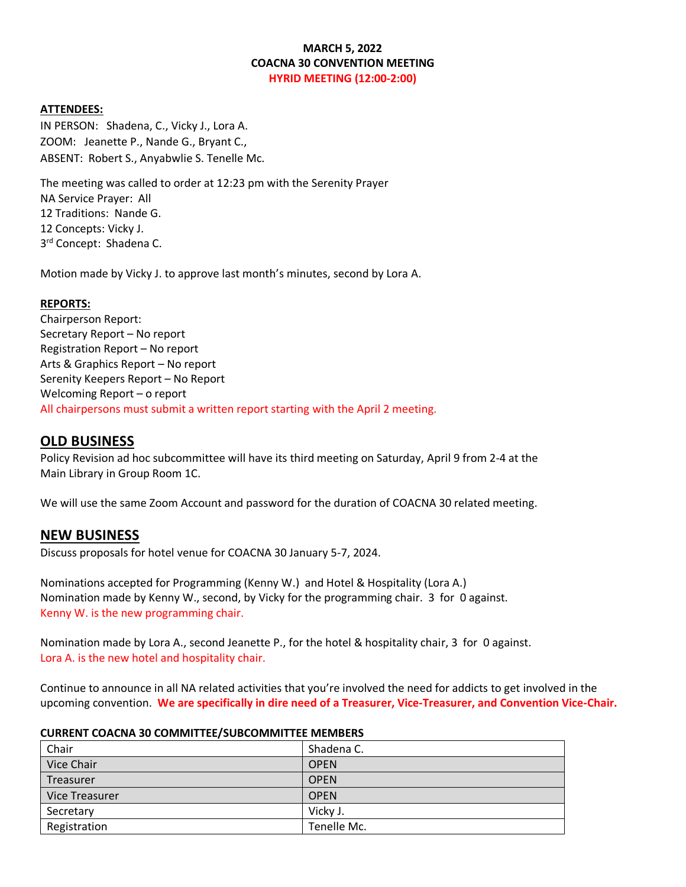## **MARCH 5, 2022 COACNA 30 CONVENTION MEETING HYRID MEETING (12:00-2:00)**

#### **ATTENDEES:**

IN PERSON: Shadena, C., Vicky J., Lora A. ZOOM: Jeanette P., Nande G., Bryant C., ABSENT: Robert S., Anyabwlie S. Tenelle Mc.

The meeting was called to order at 12:23 pm with the Serenity Prayer NA Service Prayer: All 12 Traditions: Nande G. 12 Concepts: Vicky J. 3<sup>rd</sup> Concept: Shadena C.

Motion made by Vicky J. to approve last month's minutes, second by Lora A.

#### **REPORTS:**

Chairperson Report: Secretary Report – No report Registration Report – No report Arts & Graphics Report – No report Serenity Keepers Report – No Report Welcoming Report – o report All chairpersons must submit a written report starting with the April 2 meeting.

## **OLD BUSINESS**

Policy Revision ad hoc subcommittee will have its third meeting on Saturday, April 9 from 2-4 at the Main Library in Group Room 1C.

We will use the same Zoom Account and password for the duration of COACNA 30 related meeting.

## **NEW BUSINESS**

Discuss proposals for hotel venue for COACNA 30 January 5-7, 2024.

Nominations accepted for Programming (Kenny W.) and Hotel & Hospitality (Lora A.) Nomination made by Kenny W., second, by Vicky for the programming chair. 3 for 0 against. Kenny W. is the new programming chair.

Nomination made by Lora A., second Jeanette P., for the hotel & hospitality chair, 3 for 0 against. Lora A. is the new hotel and hospitality chair.

Continue to announce in all NA related activities that you're involved the need for addicts to get involved in the upcoming convention. **We are specifically in dire need of a Treasurer, Vice-Treasurer, and Convention Vice-Chair.**

#### **CURRENT COACNA 30 COMMITTEE/SUBCOMMITTEE MEMBERS**

| Chair                 | Shadena C.  |
|-----------------------|-------------|
| Vice Chair            | <b>OPEN</b> |
| Treasurer             | <b>OPEN</b> |
| <b>Vice Treasurer</b> | <b>OPEN</b> |
| Secretary             | Vicky J.    |
| Registration          | Tenelle Mc. |